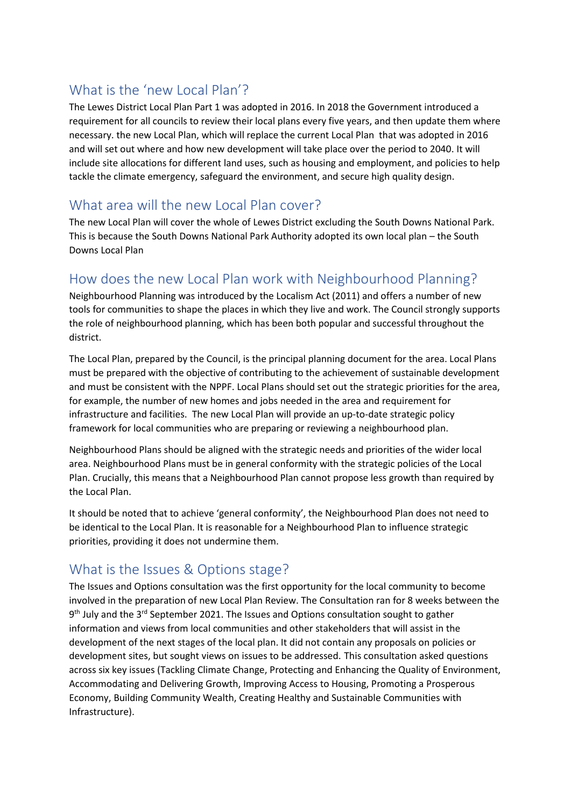## What is the 'new Local Plan'?

The Lewes District Local Plan Part 1 was adopted in 2016. In 2018 the Government introduced a requirement for all councils to review their local plans every five years, and then update them where necessary. the new Local Plan, which will replace the current Local Plan that was adopted in 2016 and will set out where and how new development will take place over the period to 2040. It will include site allocations for different land uses, such as housing and employment, and policies to help tackle the climate emergency, safeguard the environment, and secure high quality design.

#### What area will the new Local Plan cover?

The new Local Plan will cover the whole of Lewes District excluding the South Downs National Park. This is because the South Downs National Park Authority adopted its own local plan – the South Downs Local Plan

### How does the new Local Plan work with Neighbourhood Planning?

Neighbourhood Planning was introduced by the Localism Act (2011) and offers a number of new tools for communities to shape the places in which they live and work. The Council strongly supports the role of neighbourhood planning, which has been both popular and successful throughout the district.

The Local Plan, prepared by the Council, is the principal planning document for the area. Local Plans must be prepared with the objective of contributing to the achievement of sustainable development and must be consistent with the NPPF. Local Plans should set out the strategic priorities for the area, for example, the number of new homes and jobs needed in the area and requirement for infrastructure and facilities. The new Local Plan will provide an up-to-date strategic policy framework for local communities who are preparing or reviewing a neighbourhood plan.

Neighbourhood Plans should be aligned with the strategic needs and priorities of the wider local area. Neighbourhood Plans must be in general conformity with the strategic policies of the Local Plan. Crucially, this means that a Neighbourhood Plan cannot propose less growth than required by the Local Plan.

It should be noted that to achieve 'general conformity', the Neighbourhood Plan does not need to be identical to the Local Plan. It is reasonable for a Neighbourhood Plan to influence strategic priorities, providing it does not undermine them.

#### What is the Issues & Options stage?

The Issues and Options consultation was the first opportunity for the local community to become involved in the preparation of new Local Plan Review. The Consultation ran for 8 weeks between the 9<sup>th</sup> July and the 3<sup>rd</sup> September 2021. The Issues and Options consultation sought to gather information and views from local communities and other stakeholders that will assist in the development of the next stages of the local plan. It did not contain any proposals on policies or development sites, but sought views on issues to be addressed. This consultation asked questions across six key issues (Tackling Climate Change, Protecting and Enhancing the Quality of Environment, Accommodating and Delivering Growth, Improving Access to Housing, Promoting a Prosperous Economy, Building Community Wealth, Creating Healthy and Sustainable Communities with Infrastructure).